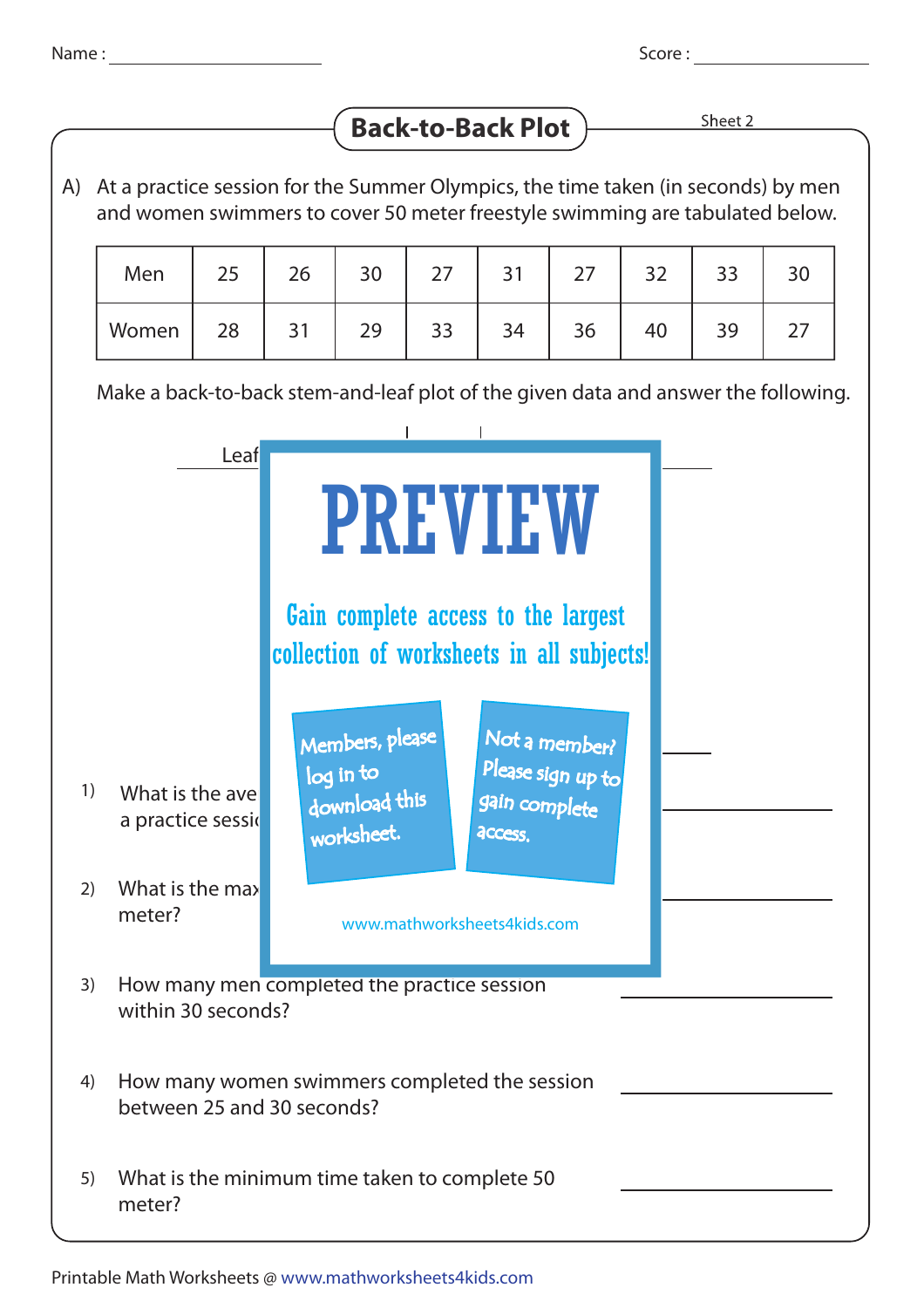